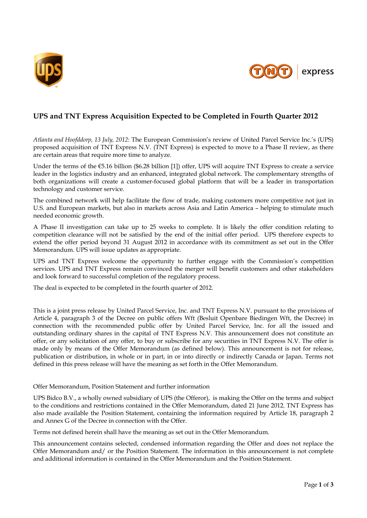



# **UPS and TNT Express Acquisition Expected to be Completed in Fourth Quarter 2012**

*Atlanta and Hoofddorp, 13 July, 2012*: The European Commission's review of United Parcel Service Inc.'s (UPS) proposed acquisition of TNT Express N.V. (TNT Express) is expected to move to a Phase II review, as there are certain areas that require more time to analyze.

Under the terms of the  $\epsilon$ 5.16 billion (\$6.28 billion [1]) offer, UPS will acquire TNT Express to create a service leader in the logistics industry and an enhanced, integrated global network. The complementary strengths of both organizations will create a customer-focused global platform that will be a leader in transportation technology and customer service.

The combined network will help facilitate the flow of trade, making customers more competitive not just in U.S. and European markets, but also in markets across Asia and Latin America – helping to stimulate much needed economic growth.

A Phase II investigation can take up to 25 weeks to complete. It is likely the offer condition relating to competition clearance will not be satisfied by the end of the initial offer period. UPS therefore expects to extend the offer period beyond 31 August 2012 in accordance with its commitment as set out in the Offer Memorandum. UPS will issue updates as appropriate.

UPS and TNT Express welcome the opportunity to further engage with the Commission's competition services. UPS and TNT Express remain convinced the merger will benefit customers and other stakeholders and look forward to successful completion of the regulatory process.

The deal is expected to be completed in the fourth quarter of 2012.

This is a joint press release by United Parcel Service, Inc. and TNT Express N.V. pursuant to the provisions of Article 4, paragraph 3 of the Decree on public offers Wft (Besluit Openbare Biedingen Wft, the Decree) in connection with the recommended public offer by United Parcel Service, Inc. for all the issued and outstanding ordinary shares in the capital of TNT Express N.V. This announcement does not constitute an offer, or any solicitation of any offer, to buy or subscribe for any securities in TNT Express N.V. The offer is made only by means of the Offer Memorandum (as defined below). This announcement is not for release, publication or distribution, in whole or in part, in or into directly or indirectly Canada or Japan. Terms not defined in this press release will have the meaning as set forth in the Offer Memorandum.

## Offer Memorandum, Position Statement and further information

UPS Bidco B.V., a wholly owned subsidiary of UPS (the Offeror), is making the Offer on the terms and subject to the conditions and restrictions contained in the Offer Memorandum, dated 21 June 2012. TNT Express has also made available the Position Statement, containing the information required by Article 18, paragraph 2 and Annex G of the Decree in connection with the Offer.

Terms not defined herein shall have the meaning as set out in the Offer Memorandum.

This announcement contains selected, condensed information regarding the Offer and does not replace the Offer Memorandum and/ or the Position Statement. The information in this announcement is not complete and additional information is contained in the Offer Memorandum and the Position Statement.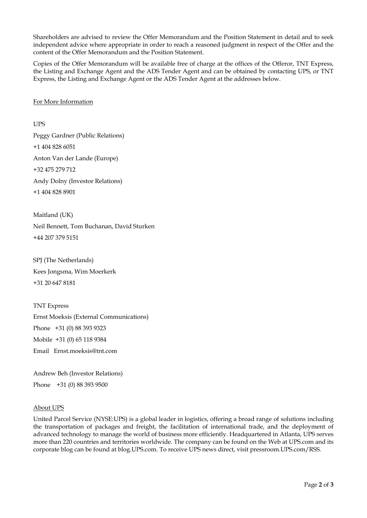Shareholders are advised to review the Offer Memorandum and the Position Statement in detail and to seek independent advice where appropriate in order to reach a reasoned judgment in respect of the Offer and the content of the Offer Memorandum and the Position Statement.

Copies of the Offer Memorandum will be available free of charge at the offices of the Offeror, TNT Express, the Listing and Exchange Agent and the ADS Tender Agent and can be obtained by contacting UPS, or TNT Express, the Listing and Exchange Agent or the ADS Tender Agent at the addresses below.

#### For More Information

UPS

Peggy Gardner (Public Relations) +1 404 828 6051 Anton Van der Lande (Europe) +32 475 279 712 Andy Dolny (Investor Relations) +1 404 828 8901

Maitland (UK) Neil Bennett, Tom Buchanan, David Sturken +44 207 379 5151

SPJ (The Netherlands) Kees Jongsma, Wim Moerkerk +31 20 647 8181

TNT Express Ernst Moeksis (External Communications) Phone +31 (0) 88 393 9323 Mobile +31 (0) 65 118 9384 Email Ernst.moeksis@tnt.com

Andrew Beh (Investor Relations) Phone +31 (0) 88 393 9500

## About UPS

United Parcel Service (NYSE:UPS) is a global leader in logistics, offering a broad range of solutions including the transportation of packages and freight, the facilitation of international trade, and the deployment of advanced technology to manage the world of business more efficiently. Headquartered in Atlanta, UPS serves more than 220 countries and territories worldwide. The company can be found on the Web at UPS.com and its corporate blog can be found at blog.UPS.com. To receive UPS news direct, visit pressroom.UPS.com/RSS.